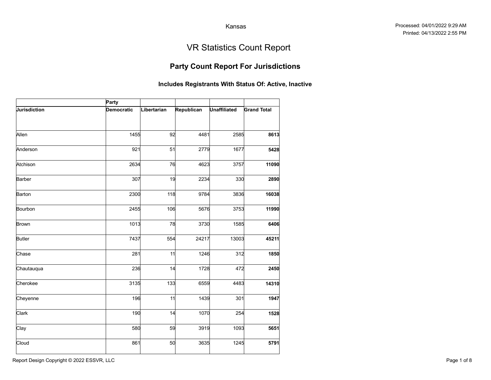## Party Count Report For Jurisdictions

|                     |                     |             |                                                       | Kansas                            |                    |
|---------------------|---------------------|-------------|-------------------------------------------------------|-----------------------------------|--------------------|
|                     |                     |             |                                                       | <b>VR Statistics Count Report</b> |                    |
|                     |                     |             | <b>Party Count Report For Jurisdictions</b>           |                                   |                    |
|                     |                     |             | Includes Registrants With Status Of: Active, Inactive |                                   |                    |
| <b>Jurisdiction</b> | Party<br>Democratic | Libertarian | Republican                                            | <b>Unaffiliated</b>               | <b>Grand Total</b> |
| Allen               | 1455                | 92          | 4481                                                  | 2585                              | 8613               |
| Anderson            | 921                 | 51          | 2779                                                  | 1677                              | 5428               |
| Atchison            | 2634                | 76          | 4623                                                  | 3757                              | 11090              |
| Barber              | 307                 | 19          | 2234                                                  | 330                               | 2890               |
| Barton              | 2300                | 118         | 9784                                                  | 3836                              | 16038              |
| Bourbon             | 2455                | 106         | 5676                                                  | 3753                              | 11990              |
| <b>Brown</b>        | 1013                | 78          | 3730                                                  | 1585                              | 6406               |
| Butler              | 7437                | 554         | 24217                                                 | 13003                             | 45211              |
| Chase               | 281                 | 11          | 1246                                                  | 312                               | 1850               |
| Chautauqua          | 236                 | 14          | 1728                                                  | 472                               | 2450               |
| Cherokee            | 3135                | 133         | 6559                                                  | 4483                              | 14310              |
| Cheyenne            | 196                 | 11          | 1439                                                  | 301                               | 1947               |
| Clark               | 190                 | 14          | 1070                                                  | 254                               | 1528               |
| Clay                | 580                 | 59          | 3919                                                  | 1093                              | 5651               |
| Cloud               | 861                 | 50          | 3635                                                  | 1245                              | 5791               |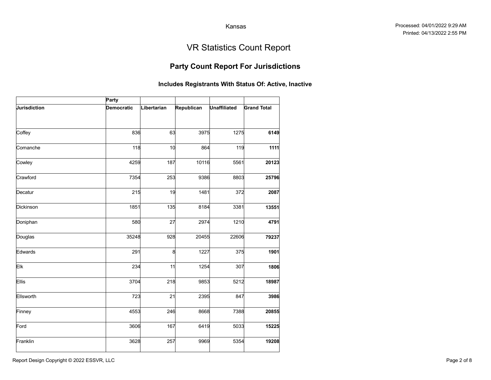## Party Count Report For Jurisdictions

|              |                   |             |                                                       | Kansas              |                                   |
|--------------|-------------------|-------------|-------------------------------------------------------|---------------------|-----------------------------------|
|              |                   |             |                                                       |                     |                                   |
|              |                   |             |                                                       |                     | <b>VR Statistics Count Report</b> |
|              |                   |             | <b>Party Count Report For Jurisdictions</b>           |                     |                                   |
|              |                   |             | Includes Registrants With Status Of: Active, Inactive |                     |                                   |
|              | Party             |             |                                                       |                     |                                   |
| Jurisdiction | <b>Democratic</b> | Libertarian | Republican                                            | <b>Unaffiliated</b> | <b>Grand Total</b>                |
|              |                   |             |                                                       |                     |                                   |
| Coffey       | 836               | 63          | 3975                                                  | 1275                | 6149                              |
| Comanche     | 118               | 10          | 864                                                   | 119                 | 1111                              |
| Cowley       | 4259              | 187         | 10116                                                 | 5561                | 20123                             |
| Crawford     | 7354              | 253         | 9386                                                  | 8803                | 25796                             |
| Decatur      | 215               | 19          | 1481                                                  | 372                 | 2087                              |
| Dickinson    | 1851              | 135         | 8184                                                  | 3381                | 13551                             |
| Doniphan     | 580               | 27          | 2974                                                  | 1210                | 4791                              |
| Douglas      | 35248             | 928         | 20455                                                 | 22606               | 79237                             |
| Edwards      | 291               | 8           | 1227                                                  | 375                 | 1901                              |
| Elk          | 234               | 11          | 1254                                                  | 307                 | 1806                              |
| Ellis        | 3704              | 218         | 9853                                                  | 5212                | 18987                             |
| Ellsworth    | 723               | 21          | 2395                                                  | 847                 | 3986                              |
| Finney       | 4553              | 246         | 8668                                                  | 7388                | 20855                             |
| Ford         | 3606              | 167         | 6419                                                  | 5033                | 15225                             |
| Franklin     | 3628              | 257         | 9969                                                  | 5354                | 19208                             |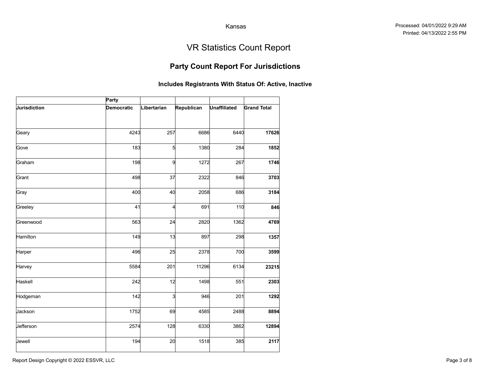## Party Count Report For Jurisdictions

|              |                   |             |                                                       | Kansas              |                                   |
|--------------|-------------------|-------------|-------------------------------------------------------|---------------------|-----------------------------------|
|              |                   |             |                                                       |                     | <b>VR Statistics Count Report</b> |
|              |                   |             | <b>Party Count Report For Jurisdictions</b>           |                     |                                   |
|              |                   |             | Includes Registrants With Status Of: Active, Inactive |                     |                                   |
|              | Party             |             |                                                       |                     |                                   |
| Jurisdiction | <b>Democratic</b> | Libertarian | Republican                                            | <b>Unaffiliated</b> | <b>Grand Total</b>                |
| Geary        | 4243              | 257         | 6686                                                  | 6440                | 17626                             |
| Gove         | 183               | 5           | 1380                                                  | 284                 | 1852                              |
| Graham       | 198               |             | 9<br>1272                                             | 267                 | 1746                              |
| Grant        | 498               | 37          | 2322                                                  | 846                 | 3703                              |
| Gray         | 400               | 40          | 2058                                                  | 686                 | 3184                              |
| Greeley      | 41                | 4           | 691                                                   | 110                 | 846                               |
| Greenwood    | 563               | 24          | 2820                                                  | 1362                | 4769                              |
| Hamilton     | 149               | 13          | 897                                                   | 298                 | 1357                              |
| Harper       | 496               | 25          | 2378                                                  | 700                 | 3599                              |
| Harvey       | 5584              | 201         | 11296                                                 | 6134                | 23215                             |
| Haskell      | 242               | 12          | 1498                                                  | 551                 | 2303                              |
| Hodgeman     | 142               |             | 3<br>946                                              | 201                 | 1292                              |
| Jackson      | 1752              | 69          | 4585                                                  | 2488                | 8894                              |
| Jefferson    | 2574              | 128         | 6330                                                  | 3862                | 12894                             |
| Jewell       | 194               | 20          | 1518                                                  | 385                 | 2117                              |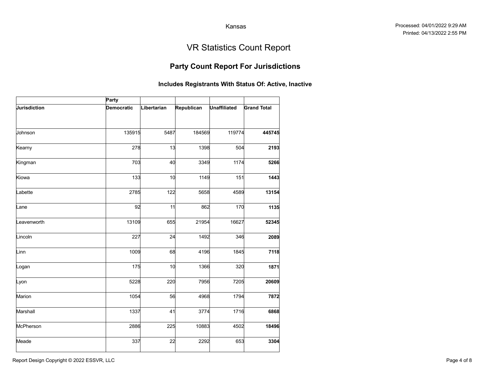## Party Count Report For Jurisdictions

|              |                   |             |                                                       | Kansas              |                                   |
|--------------|-------------------|-------------|-------------------------------------------------------|---------------------|-----------------------------------|
|              |                   |             |                                                       |                     | <b>VR Statistics Count Report</b> |
|              |                   |             | <b>Party Count Report For Jurisdictions</b>           |                     |                                   |
|              |                   |             | Includes Registrants With Status Of: Active, Inactive |                     |                                   |
|              | Party             |             |                                                       |                     |                                   |
| Jurisdiction | <b>Democratic</b> | Libertarian | Republican                                            | <b>Unaffiliated</b> | <b>Grand Total</b>                |
| Johnson      | 135915            | 5487        | 184569                                                | 119774              | 445745                            |
| Kearny       | 278               | 13          | 1398                                                  | 504                 | 2193                              |
| Kingman      | 703               | 40          | 3349                                                  | 1174                | 5266                              |
| Kiowa        | 133               | 10          | 1149                                                  | 151                 | 1443                              |
| Labette      | 2785              | 122         | 5658                                                  | 4589                | 13154                             |
| Lane         | 92                | 11          | 862                                                   | 170                 | 1135                              |
| .eavenworth  | 13109             | 655         | 21954                                                 | 16627               | 52345                             |
| Lincoln      | 227               | 24          | 1492                                                  | 346                 | 2089                              |
| Linn         | 1009              | 68          | 4196                                                  | 1845                | 7118                              |
| Logan        | 175               | 10          | 1366                                                  | 320                 | 1871                              |
| Lyon         | 5228              | 220         | 7956                                                  | 7205                | 20609                             |
| Marion       | 1054              | 56          | 4968                                                  | 1794                | 7872                              |
| Marshall     | 1337              | 41          | 3774                                                  | 1716                | 6868                              |
| McPherson    | 2886              | 225         | 10883                                                 | 4502                | 18496                             |
| Meade        | 337               | 22          | 2292                                                  | 653                 | 3304                              |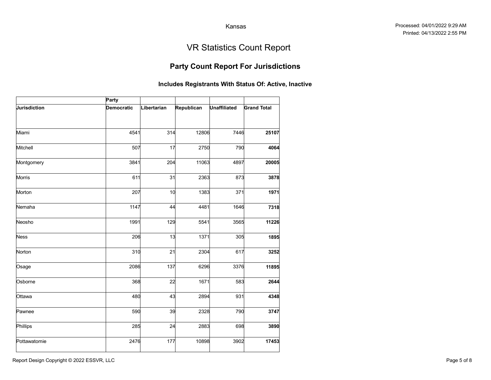## Party Count Report For Jurisdictions

|                     |            |             |                                                       | Kansas              |                                   |
|---------------------|------------|-------------|-------------------------------------------------------|---------------------|-----------------------------------|
|                     |            |             |                                                       |                     | <b>VR Statistics Count Report</b> |
|                     |            |             | <b>Party Count Report For Jurisdictions</b>           |                     |                                   |
|                     |            |             | Includes Registrants With Status Of: Active, Inactive |                     |                                   |
|                     | Party      |             |                                                       |                     |                                   |
| <b>Jurisdiction</b> | Democratic | Libertarian | Republican                                            | <b>Unaffiliated</b> | <b>Grand Total</b>                |
| Miami               | 4541       | 314         | 12806                                                 | 7446                | 25107                             |
| Mitchell            | 507        | 17          | 2750                                                  | 790                 | 4064                              |
| Montgomery          | 3841       | 204         | 11063                                                 | 4897                | 20005                             |
| Morris              | 611        | 31          | 2363                                                  | 873                 | 3878                              |
| Morton              | 207        | 10          | 1383                                                  | 371                 | 1971                              |
| Nemaha              | 1147       | 44          | 4481                                                  | 1646                | 7318                              |
| Neosho              | 1991       | 129         | 5541                                                  | 3565                | 11226                             |
| <b>Ness</b>         | 206        | 13          | 1371                                                  | 305                 | 1895                              |
| Norton              | 310        | 21          | 2304                                                  | 617                 | 3252                              |
| Osage               | 2086       | 137         | 6296                                                  | 3376                | 11895                             |
| Osborne             | 368        | 22          | 1671                                                  | 583                 | 2644                              |
| Ottawa              | 480        | 43          | 2894                                                  | 931                 | 4348                              |
| Pawnee              | 590        | 39          | 2328                                                  | 790                 | 3747                              |
| Phillips            | 285        | 24          | 2883                                                  | 698                 | 3890                              |
| Pottawatomie        | 2476       | 177         | 10898                                                 | 3902                | 17453                             |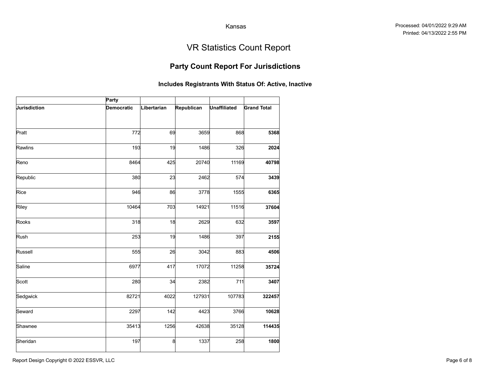## Party Count Report For Jurisdictions

|              |                   |             |                                                       | Kansas              |                                   |
|--------------|-------------------|-------------|-------------------------------------------------------|---------------------|-----------------------------------|
|              |                   |             |                                                       |                     | <b>VR Statistics Count Report</b> |
|              |                   |             | <b>Party Count Report For Jurisdictions</b>           |                     |                                   |
|              |                   |             | Includes Registrants With Status Of: Active, Inactive |                     |                                   |
|              | Party             |             |                                                       |                     |                                   |
| Jurisdiction | <b>Democratic</b> | Libertarian | Republican                                            | <b>Unaffiliated</b> | <b>Grand Total</b>                |
| Pratt        | 772               | 69          | 3659                                                  | 868                 | 5368                              |
|              |                   |             |                                                       |                     |                                   |
| Rawlins      | 193               | 19          | 1486                                                  | 326                 | 2024                              |
| Reno         | 8464              | 425         | 20740                                                 | 11169               | 40798                             |
| Republic     | 380               | 23          | 2462                                                  | 574                 | 3439                              |
| Rice         | 946               | 86          | 3778                                                  | 1555                | 6365                              |
| Riley        | 10464             | 703         | 14921                                                 | 11516               | 37604                             |
| Rooks        | 318               | 18          | 2629                                                  | 632                 | 3597                              |
| Rush         | 253               | 19          | 1486                                                  | 397                 | 2155                              |
| Russell      | 555               | 26          | 3042                                                  | 883                 | 4506                              |
| Saline       | 6977              | 417         | 17072                                                 | 11258               | 35724                             |
| Scott        | 280               | 34          | 2382                                                  | 711                 | 3407                              |
| Sedgwick     | 82721             | 4022        | 127931                                                | 107783              | 322457                            |
| Seward       | 2297              | 142         | 4423                                                  | 3766                | 10628                             |
| Shawnee      | 35413             | 1256        | 42638                                                 | 35128               | 114435                            |
| Sheridan     | 197               | 8           | 1337                                                  | 258                 | 1800                              |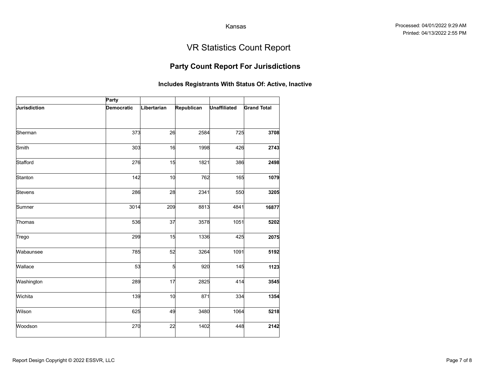### Party Count Report For Jurisdictions

|              |                   |             |                        | Kansas              |                                                       |
|--------------|-------------------|-------------|------------------------|---------------------|-------------------------------------------------------|
|              |                   |             |                        |                     |                                                       |
|              |                   |             |                        |                     | <b>VR Statistics Count Report</b>                     |
|              |                   |             |                        |                     | <b>Party Count Report For Jurisdictions</b>           |
|              |                   |             |                        |                     | Includes Registrants With Status Of: Active, Inactive |
|              | Party             |             |                        |                     |                                                       |
| Jurisdiction | <b>Democratic</b> | Libertarian | Republican             | <b>Unaffiliated</b> | <b>Grand Total</b>                                    |
| Sherman      | 373               | 26          | 2584                   | 725                 | 3708                                                  |
| Smith        | 303               | 16          | 1998                   | 426                 | 2743                                                  |
| Stafford     | 276               | 15          | 1821                   | 386                 | 2498                                                  |
| Stanton      | 142               | 10          | 762                    | 165                 | 1079                                                  |
| Stevens      | 286               | 28          | 2341                   | 550                 | 3205                                                  |
| Sumner       | 3014              | 209         | 8813                   | 4841                | 16877                                                 |
| Thomas       | 536               | 37          | 3578                   | 1051                | 5202                                                  |
| Trego        | 299               | 15          | 1336                   | 425                 | 2075                                                  |
| Wabaunsee    | 785               | 52          | 3264                   | 1091                | 5192                                                  |
| Wallace      | 53                |             | $5\overline{a}$<br>920 | 145                 | 1123                                                  |
| Washington   | 289               | 17          | 2825                   | 414                 | 3545                                                  |
| Wichita      | 139               | 10          | 871                    | 334                 | 1354                                                  |
| Wilson       | 625               | 49          | 3480                   | 1064                | 5218                                                  |
| Woodson      | 270               | 22          | 1402                   | 448                 | 2142                                                  |